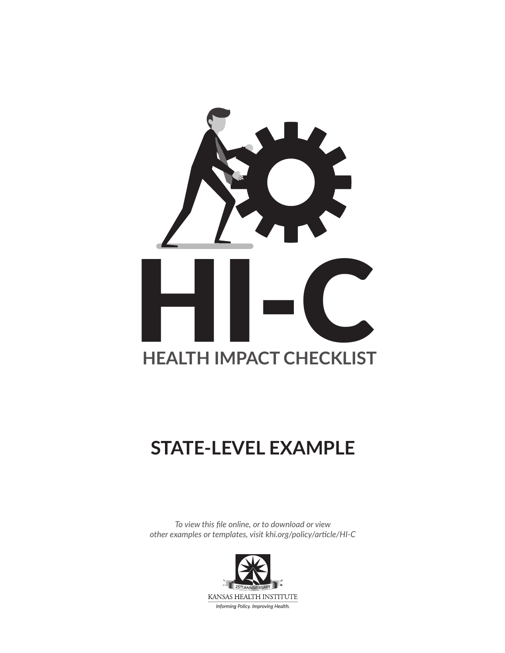

# **STATE-LEVEL EXAMPLE**

*To view this file online, or to download or view other examples or templates, visit [khi.org/policy/article/HI-C](https://www.khi.org/policy/article/HI-C)*

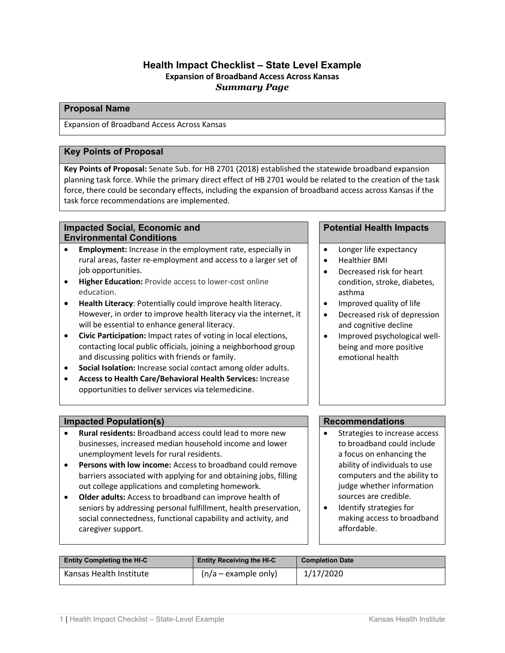# **Health Impact Checklist – State Level Example Expansion of Broadband Access Across Kansas** *Summary Page*

#### **Proposal Name**

Expansion of Broadband Access Across Kansas

# **Key Points of Proposal**

**Key Points of Proposal:** Senate Sub. for HB 2701 (2018) established the statewide broadband expansion planning task force. While the primary direct effect of HB 2701 would be related to the creation of the task force, there could be secondary effects, including the expansion of broadband access across Kansas if the task force recommendations are implemented.

#### **Impacted Social, Economic and Environmental Conditions**

- **Employment:** Increase in the employment rate, especially in rural areas, faster re-employment and access to a larger set of job opportunities.
- **Higher Education:** Provide access to lower-cost online education.
- **Health Literacy**: Potentially could improve health literacy. However, in order to improve health literacy via the internet, it will be essential to enhance general literacy.
- **Civic Participation:** Impact rates of voting in local elections, contacting local public officials, joining a neighborhood group and discussing politics with friends or family.
- **Social Isolation:** Increase social contact among older adults.
- **Access to Health Care/Behavioral Health Services:** Increase opportunities to deliver services via telemedicine.

# **Impacted Population(s) Recommendations**

- **Rural residents:** Broadband access could lead to mor[e new](https://academic.oup.com/ajae/article/99/1/285/2452343/Broadband-Internet-and-New-Firm-Location-Decisions)  [businesses,](https://academic.oup.com/ajae/article/99/1/285/2452343/Broadband-Internet-and-New-Firm-Location-Decisions) [increased median household income and](http://www.sciencedirect.com/science/article/pii/S0308596114000949) lower [unemployment](http://www.sciencedirect.com/science/article/pii/S0308596114000949) levels for rural residents.
- **Persons with low income:** Access to broadband could remove barriers associated with applying for and obtaining jobs, filling out college applications and completing homework.
- **Older adults:** Access to broadband can improve health of seniors by addressing personal fulfillment, health preservation, social connectedness, functional capability and activity, and caregiver support.

#### **Potential Health Impacts**

- Longer life expectancy
- Healthier BMI
- Decreased risk for heart condition, stroke, diabetes, asthma
- Improved quality of life
- Decreased risk of depression and cognitive decline
- Improved psychological wellbeing and more positive emotional health

- Strategies to increase access to broadband could include a focus on enhancing the ability of individuals to use computers and the ability to judge whether information sources are credible.
- Identify strategies for making access to broadband affordable.

| <b>Entity Completing the HI-C</b> | <b>Entity Receiving the HI-C</b> | <b>Completion Date</b> |
|-----------------------------------|----------------------------------|------------------------|
| Kansas Health Institute           | $(n/a - example$ only)           | 1/17/2020              |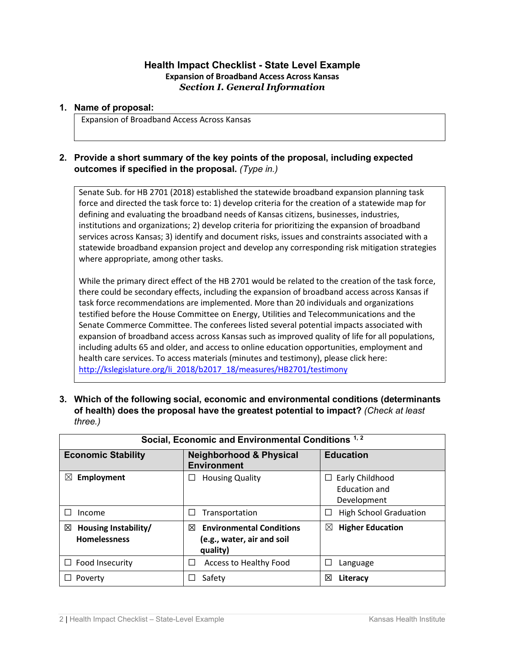# **Health Impact Checklist - State Level Example Expansion of Broadband Access Across Kansas** *Section I. General Information*

#### **1. Name of proposal:**

Expansion of Broadband Access Across Kansas

# **2. Provide a short summary of the key points of the proposal, including expected outcomes if specified in the proposal.** *(Type in.)*

Senate Sub. for HB 2701 (2018) established the statewide broadband expansion planning task force and directed the task force to: 1) develop criteria for the creation of a statewide map for defining and evaluating the broadband needs of Kansas citizens, businesses, industries, institutions and organizations; 2) develop criteria for prioritizing the expansion of broadband services across Kansas; 3) identify and document risks, issues and constraints associated with a statewide broadband expansion project and develop any corresponding risk mitigation strategies where appropriate, among other tasks.

While the primary direct effect of the HB 2701 would be related to the creation of the task force, there could be secondary effects, including the expansion of broadband access across Kansas if task force recommendations are implemented. More than 20 individuals and organizations testified before the House Committee on Energy, Utilities and Telecommunications and the Senate Commerce Committee. The conferees listed several potential impacts associated with expansion of broadband access across Kansas such as improved quality of life for all populations, including adults 65 and older, and access to online education opportunities, employment and health care services. To access materials (minutes and testimony), please click here: [http://kslegislature.org/li\\_2018/b2017\\_18/measures/HB2701/testimony](http://kslegislature.org/li_2018/b2017_18/measures/HB2701/testimony)

**3. Which of the following social, economic and environmental conditions (determinants of health) does the proposal have the greatest potential to impact?** *(Check at least three.)*

| Social, Economic and Environmental Conditions <sup>1,2</sup> |                                                                                |                                                 |
|--------------------------------------------------------------|--------------------------------------------------------------------------------|-------------------------------------------------|
| <b>Economic Stability</b>                                    | <b>Neighborhood &amp; Physical</b><br><b>Environment</b>                       | <b>Education</b>                                |
| $\boxtimes$<br>Employment                                    | <b>Housing Quality</b>                                                         | Early Childhood<br>Education and<br>Development |
| Income                                                       | Transportation<br>⊔                                                            | <b>High School Graduation</b>                   |
| Housing Instability/<br>⊠<br><b>Homelessness</b>             | <b>Environmental Conditions</b><br>⊠<br>(e.g., water, air and soil<br>quality) | <b>Higher Education</b><br>$\boxtimes$          |
| $\Box$ Food Insecurity                                       | Access to Healthy Food<br>$\Box$                                               | Language                                        |
| Poverty                                                      | Safety                                                                         | 図<br>Literacy                                   |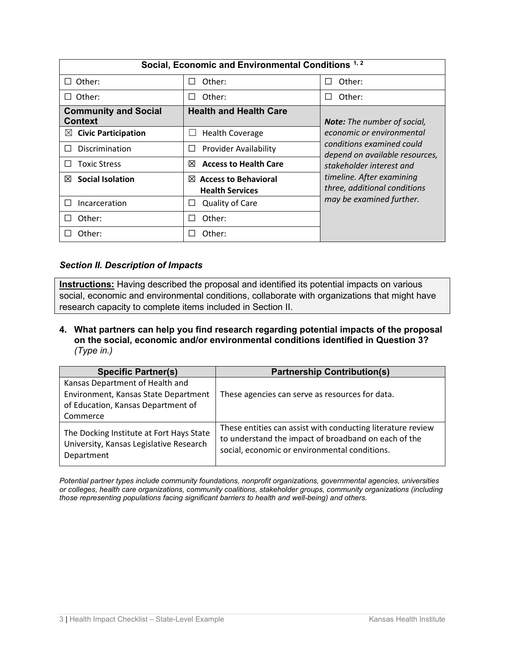| Social, Economic and Environmental Conditions <sup>1,2</sup> |                                                            |                                                                                                                                                                                                               |
|--------------------------------------------------------------|------------------------------------------------------------|---------------------------------------------------------------------------------------------------------------------------------------------------------------------------------------------------------------|
| Other:<br>$\Box$                                             | Other:                                                     | Other:                                                                                                                                                                                                        |
| Other:<br>$\perp$                                            | Other:                                                     | Other:                                                                                                                                                                                                        |
| <b>Community and Social</b><br><b>Context</b>                | <b>Health and Health Care</b>                              | <b>Note:</b> The number of social,                                                                                                                                                                            |
| <b>Civic Participation</b><br>$\boxtimes$                    | <b>Health Coverage</b>                                     | economic or environmental<br>conditions examined could<br>depend on available resources,<br>stakeholder interest and<br>timeline. After examining<br>three, additional conditions<br>may be examined further. |
| Discrimination<br>$\mathbf{I}$                               | <b>Provider Availability</b>                               |                                                                                                                                                                                                               |
| <b>Toxic Stress</b><br>$\mathbf{1}$                          | <b>Access to Health Care</b><br>⊠                          |                                                                                                                                                                                                               |
| <b>Social Isolation</b><br>⊠                                 | $\boxtimes$ Access to Behavioral<br><b>Health Services</b> |                                                                                                                                                                                                               |
| Incarceration<br>П                                           | <b>Quality of Care</b>                                     |                                                                                                                                                                                                               |
| Other:<br>$\Box$                                             | Other:                                                     |                                                                                                                                                                                                               |
| Other:                                                       | Other:                                                     |                                                                                                                                                                                                               |

# *Section II. Description of Impacts*

**Instructions:** Having described the proposal and identified its potential impacts on various social, economic and environmental conditions, collaborate with organizations that might have research capacity to complete items included in Section II.

**4. What partners can help you find research regarding potential impacts of the proposal on the social, economic and/or environmental conditions identified in Question 3?** *(Type in.)*

| <b>Specific Partner(s)</b>                                                                        | <b>Partnership Contribution(s)</b>                                                                                                                                   |
|---------------------------------------------------------------------------------------------------|----------------------------------------------------------------------------------------------------------------------------------------------------------------------|
| Kansas Department of Health and                                                                   |                                                                                                                                                                      |
| Environment, Kansas State Department                                                              | These agencies can serve as resources for data.                                                                                                                      |
| of Education, Kansas Department of                                                                |                                                                                                                                                                      |
| Commerce                                                                                          |                                                                                                                                                                      |
| The Docking Institute at Fort Hays State<br>University, Kansas Legislative Research<br>Department | These entities can assist with conducting literature review<br>to understand the impact of broadband on each of the<br>social, economic or environmental conditions. |

*Potential partner types include community foundations, nonprofit organizations, governmental agencies, universities or colleges, health care organizations, community coalitions, stakeholder groups, community organizations (including those representing populations facing significant barriers to health and well-being) and others.*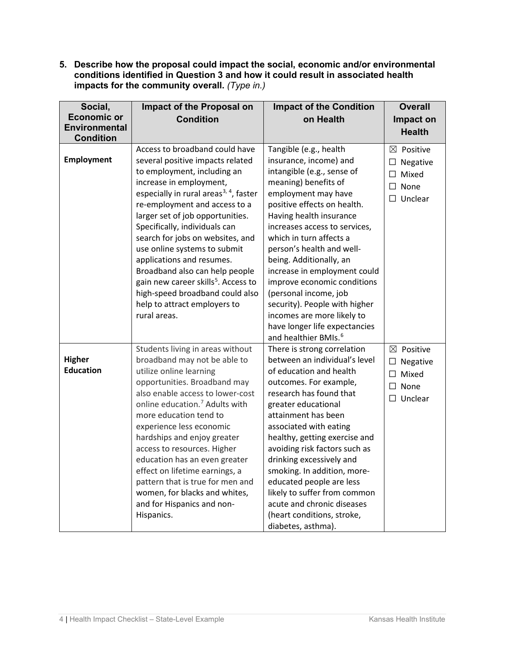**5. Describe how the proposal could impact the social, economic and/or environmental conditions identified in Question 3 and how it could result in associated health impacts for the community overall.** *(Type in.)*

| Social,<br><b>Economic or</b><br><b>Environmental</b> | Impact of the Proposal on<br><b>Condition</b>                                                                                                                                                                                                                                                                                                                                                                                                                                                                                                                     | <b>Impact of the Condition</b><br>on Health                                                                                                                                                                                                                                                                                                                                                                                                                                                                                             | <b>Overall</b><br>Impact on                                                                 |
|-------------------------------------------------------|-------------------------------------------------------------------------------------------------------------------------------------------------------------------------------------------------------------------------------------------------------------------------------------------------------------------------------------------------------------------------------------------------------------------------------------------------------------------------------------------------------------------------------------------------------------------|-----------------------------------------------------------------------------------------------------------------------------------------------------------------------------------------------------------------------------------------------------------------------------------------------------------------------------------------------------------------------------------------------------------------------------------------------------------------------------------------------------------------------------------------|---------------------------------------------------------------------------------------------|
| <b>Condition</b>                                      |                                                                                                                                                                                                                                                                                                                                                                                                                                                                                                                                                                   |                                                                                                                                                                                                                                                                                                                                                                                                                                                                                                                                         | <b>Health</b>                                                                               |
| <b>Employment</b>                                     | Access to broadband could have<br>several positive impacts related<br>to employment, including an<br>increase in employment,<br>especially in rural areas <sup>3, 4</sup> , faster<br>re-employment and access to a<br>larger set of job opportunities.<br>Specifically, individuals can<br>search for jobs on websites, and<br>use online systems to submit<br>applications and resumes.<br>Broadband also can help people<br>gain new career skills <sup>5</sup> . Access to<br>high-speed broadband could also<br>help to attract employers to<br>rural areas. | Tangible (e.g., health<br>insurance, income) and<br>intangible (e.g., sense of<br>meaning) benefits of<br>employment may have<br>positive effects on health.<br>Having health insurance<br>increases access to services,<br>which in turn affects a<br>person's health and well-<br>being. Additionally, an<br>increase in employment could<br>improve economic conditions<br>(personal income, job<br>security). People with higher<br>incomes are more likely to<br>have longer life expectancies<br>and healthier BMIs. <sup>6</sup> | $\boxtimes$ Positive<br>$\Box$ Negative<br>$\Box$ Mixed<br>$\square$ None<br>$\Box$ Unclear |
| <b>Higher</b><br><b>Education</b>                     | Students living in areas without<br>broadband may not be able to<br>utilize online learning<br>opportunities. Broadband may<br>also enable access to lower-cost<br>online education. <sup>7</sup> Adults with<br>more education tend to<br>experience less economic<br>hardships and enjoy greater<br>access to resources. Higher<br>education has an even greater<br>effect on lifetime earnings, a<br>pattern that is true for men and<br>women, for blacks and whites,<br>and for Hispanics and non-<br>Hispanics.                                             | There is strong correlation<br>between an individual's level<br>of education and health<br>outcomes. For example,<br>research has found that<br>greater educational<br>attainment has been<br>associated with eating<br>healthy, getting exercise and<br>avoiding risk factors such as<br>drinking excessively and<br>smoking. In addition, more-<br>educated people are less<br>likely to suffer from common<br>acute and chronic diseases<br>(heart conditions, stroke,<br>diabetes, asthma).                                         | $\boxtimes$ Positive<br>$\Box$<br>Negative<br>$\Box$ Mixed<br>$\Box$ None<br>$\Box$ Unclear |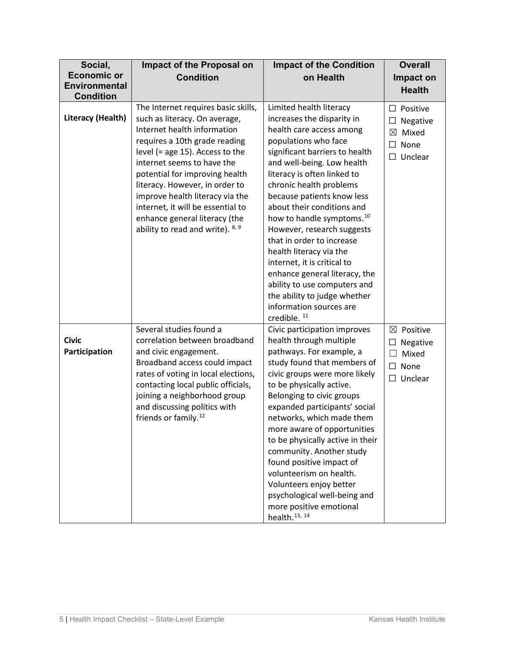| Social,              | Impact of the Proposal on                                         | <b>Impact of the Condition</b>                                      | <b>Overall</b>                             |
|----------------------|-------------------------------------------------------------------|---------------------------------------------------------------------|--------------------------------------------|
| <b>Economic or</b>   | <b>Condition</b>                                                  | on Health                                                           | Impact on                                  |
| <b>Environmental</b> |                                                                   |                                                                     | <b>Health</b>                              |
| <b>Condition</b>     | The Internet requires basic skills,                               | Limited health literacy                                             |                                            |
| Literacy (Health)    | such as literacy. On average,                                     | increases the disparity in                                          | $\Box$<br>Positive                         |
|                      | Internet health information                                       | health care access among                                            | $\Box$<br>Negative<br>$\boxtimes$<br>Mixed |
|                      | requires a 10th grade reading                                     | populations who face                                                | None<br>□                                  |
|                      | level (= age 15). Access to the                                   | significant barriers to health                                      | Unclear<br>$\Box$                          |
|                      | internet seems to have the                                        | and well-being. Low health                                          |                                            |
|                      | potential for improving health                                    | literacy is often linked to                                         |                                            |
|                      | literacy. However, in order to                                    | chronic health problems                                             |                                            |
|                      | improve health literacy via the                                   | because patients know less                                          |                                            |
|                      | internet, it will be essential to                                 | about their conditions and                                          |                                            |
|                      | enhance general literacy (the<br>ability to read and write). 8, 9 | how to handle symptoms. <sup>10</sup><br>However, research suggests |                                            |
|                      |                                                                   | that in order to increase                                           |                                            |
|                      |                                                                   | health literacy via the                                             |                                            |
|                      |                                                                   | internet, it is critical to                                         |                                            |
|                      |                                                                   | enhance general literacy, the                                       |                                            |
|                      |                                                                   | ability to use computers and                                        |                                            |
|                      |                                                                   | the ability to judge whether                                        |                                            |
|                      |                                                                   | information sources are                                             |                                            |
|                      | Several studies found a                                           | credible. <sup>11</sup><br>Civic participation improves             | $\boxtimes$ Positive                       |
| <b>Civic</b>         | correlation between broadband                                     | health through multiple                                             | $\Box$                                     |
| Participation        | and civic engagement.                                             | pathways. For example, a                                            | Negative<br>$\Box$<br>Mixed                |
|                      | Broadband access could impact                                     | study found that members of                                         | None<br>$\Box$                             |
|                      | rates of voting in local elections,                               | civic groups were more likely                                       | $\Box$ Unclear                             |
|                      | contacting local public officials,                                | to be physically active.                                            |                                            |
|                      | joining a neighborhood group                                      | Belonging to civic groups                                           |                                            |
|                      | and discussing politics with                                      | expanded participants' social                                       |                                            |
|                      | friends or family. <sup>12</sup>                                  | networks, which made them                                           |                                            |
|                      |                                                                   | more aware of opportunities<br>to be physically active in their     |                                            |
|                      |                                                                   | community. Another study                                            |                                            |
|                      |                                                                   | found positive impact of                                            |                                            |
|                      |                                                                   | volunteerism on health.                                             |                                            |
|                      |                                                                   | Volunteers enjoy better                                             |                                            |
|                      |                                                                   | psychological well-being and                                        |                                            |
|                      |                                                                   | more positive emotional                                             |                                            |
|                      |                                                                   | health. <sup>13, 14</sup>                                           |                                            |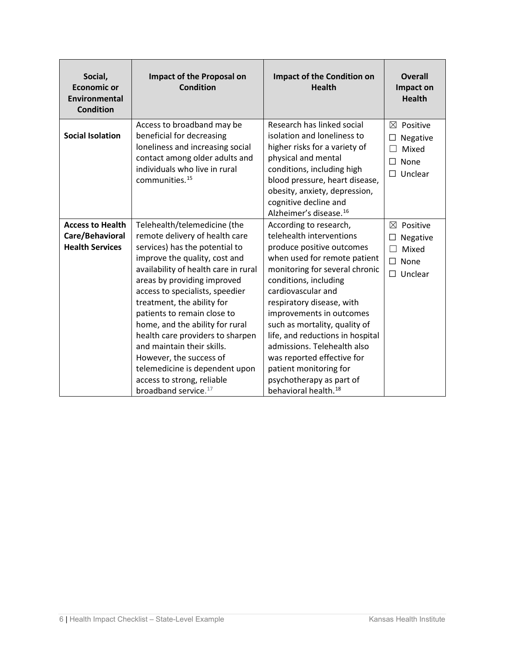| Social,<br><b>Economic or</b><br><b>Environmental</b><br><b>Condition</b> | <b>Impact of the Proposal on</b><br><b>Condition</b>                                                                                                                                                                                                                                                                                                                                                                                                                                                                                         | <b>Impact of the Condition on</b><br><b>Health</b>                                                                                                                                                                                                                                                                                                                                                                                                                                    | <b>Overall</b><br>Impact on<br><b>Health</b>                                         |
|---------------------------------------------------------------------------|----------------------------------------------------------------------------------------------------------------------------------------------------------------------------------------------------------------------------------------------------------------------------------------------------------------------------------------------------------------------------------------------------------------------------------------------------------------------------------------------------------------------------------------------|---------------------------------------------------------------------------------------------------------------------------------------------------------------------------------------------------------------------------------------------------------------------------------------------------------------------------------------------------------------------------------------------------------------------------------------------------------------------------------------|--------------------------------------------------------------------------------------|
| <b>Social Isolation</b>                                                   | Access to broadband may be<br>beneficial for decreasing<br>loneliness and increasing social<br>contact among older adults and<br>individuals who live in rural<br>communities. <sup>15</sup>                                                                                                                                                                                                                                                                                                                                                 | Research has linked social<br>isolation and loneliness to<br>higher risks for a variety of<br>physical and mental<br>conditions, including high<br>blood pressure, heart disease,<br>obesity, anxiety, depression,<br>cognitive decline and<br>Alzheimer's disease. <sup>16</sup>                                                                                                                                                                                                     | ⊠<br>Positive<br>Negative<br>$\Box$<br>Mixed<br>None<br>П<br>Unclear<br>П.           |
| <b>Access to Health</b><br>Care/Behavioral<br><b>Health Services</b>      | Telehealth/telemedicine (the<br>remote delivery of health care<br>services) has the potential to<br>improve the quality, cost and<br>availability of health care in rural<br>areas by providing improved<br>access to specialists, speedier<br>treatment, the ability for<br>patients to remain close to<br>home, and the ability for rural<br>health care providers to sharpen<br>and maintain their skills.<br>However, the success of<br>telemedicine is dependent upon<br>access to strong, reliable<br>broadband service. <sup>17</sup> | According to research,<br>telehealth interventions<br>produce positive outcomes<br>when used for remote patient<br>monitoring for several chronic<br>conditions, including<br>cardiovascular and<br>respiratory disease, with<br>improvements in outcomes<br>such as mortality, quality of<br>life, and reductions in hospital<br>admissions. Telehealth also<br>was reported effective for<br>patient monitoring for<br>psychotherapy as part of<br>behavioral health. <sup>18</sup> | ⊠<br>Positive<br>$\Box$<br>Negative<br>П<br>Mixed<br>None<br>$\Box$<br>Unclear<br>П. |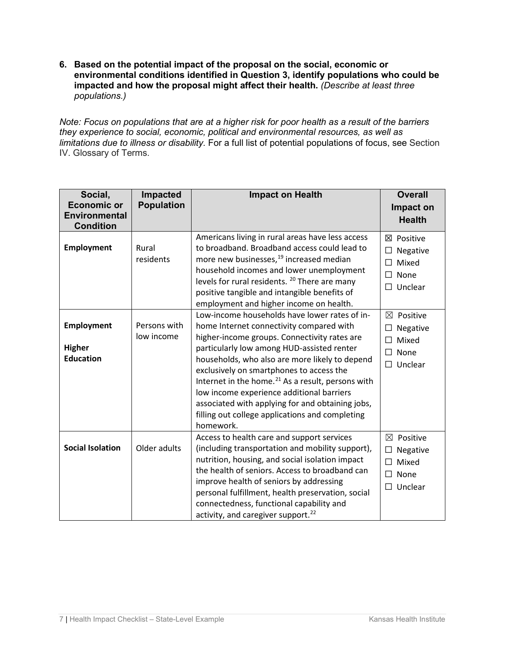**6. Based on the potential impact of the proposal on the social, economic or environmental conditions identified in Question 3, identify populations who could be impacted and how the proposal might affect their health.** *(Describe at least three populations.)*

*Note: Focus on populations that are at a higher risk for poor health as a result of the barriers they experience to social, economic, political and environmental resources, as well as limitations due to illness or disability.* For a full list of potential populations of focus, see Section IV. Glossary of Terms.

| Social,<br><b>Economic or</b><br><b>Environmental</b><br><b>Condition</b> | Impacted<br><b>Population</b> | <b>Impact on Health</b>                                                                                                                                                                                                                                                                                                                                                                                                                                                                                                 | <b>Overall</b><br>Impact on<br><b>Health</b>                                          |
|---------------------------------------------------------------------------|-------------------------------|-------------------------------------------------------------------------------------------------------------------------------------------------------------------------------------------------------------------------------------------------------------------------------------------------------------------------------------------------------------------------------------------------------------------------------------------------------------------------------------------------------------------------|---------------------------------------------------------------------------------------|
| <b>Employment</b>                                                         | Rural<br>residents            | Americans living in rural areas have less access<br>to broadband. Broadband access could lead to<br>more new businesses, <sup>19</sup> increased median<br>household incomes and lower unemployment<br>levels for rural residents. <sup>20</sup> There are many<br>positive tangible and intangible benefits of<br>employment and higher income on health.                                                                                                                                                              | ⊠ Positive<br>Negative<br>Mixed<br>П<br>П<br>None<br>Unclear<br>П                     |
| <b>Employment</b><br><b>Higher</b><br><b>Education</b>                    | Persons with<br>low income    | Low-income households have lower rates of in-<br>home Internet connectivity compared with<br>higher-income groups. Connectivity rates are<br>particularly low among HUD-assisted renter<br>households, who also are more likely to depend<br>exclusively on smartphones to access the<br>Internet in the home. <sup>21</sup> As a result, persons with<br>low income experience additional barriers<br>associated with applying for and obtaining jobs,<br>filling out college applications and completing<br>homework. | $\boxtimes$ Positive<br>Negative<br>$\Box$<br>Mixed<br>П<br>None<br>П<br>Unclear<br>П |
| <b>Social Isolation</b>                                                   | Older adults                  | Access to health care and support services<br>(including transportation and mobility support),<br>nutrition, housing, and social isolation impact<br>the health of seniors. Access to broadband can<br>improve health of seniors by addressing<br>personal fulfillment, health preservation, social<br>connectedness, functional capability and<br>activity, and caregiver support. <sup>22</sup>                                                                                                                       | $\boxtimes$ Positive<br>Negative<br>Mixed<br>П<br>None<br>П<br>Unclear<br>$\Box$      |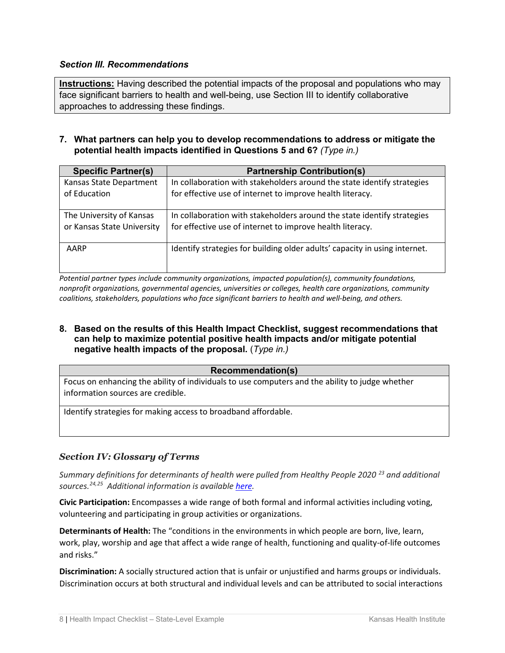# *Section III. Recommendations*

**Instructions:** Having described the potential impacts of the proposal and populations who may face significant barriers to health and well-being, use Section III to identify collaborative approaches to addressing these findings.

**7. What partners can help you to develop recommendations to address or mitigate the potential health impacts identified in Questions 5 and 6?** *(Type in.)*

| <b>Specific Partner(s)</b> | <b>Partnership Contribution(s)</b>                                         |
|----------------------------|----------------------------------------------------------------------------|
| Kansas State Department    | In collaboration with stakeholders around the state identify strategies    |
| of Education               | for effective use of internet to improve health literacy.                  |
| The University of Kansas   | In collaboration with stakeholders around the state identify strategies    |
| or Kansas State University | for effective use of internet to improve health literacy.                  |
| AARP                       | Identify strategies for building older adults' capacity in using internet. |

*Potential partner types include community organizations, impacted population(s), community foundations, nonprofit organizations, governmental agencies, universities or colleges, health care organizations, community coalitions, stakeholders, populations who face significant barriers to health and well-being, and others.*

**8. Based on the results of this Health Impact Checklist, suggest recommendations that can help to maximize potential positive health impacts and/or mitigate potential negative health impacts of the proposal.** (*Type in.)*

#### **Recommendation(s)**

Focus on enhancing the ability of individuals to use computers and the ability to judge whether information sources are credible.

Identify strategies for making access to broadband affordable.

#### *Section IV: Glossary of Terms*

*Summary definitions for determinants of health were pulled from Healthy People 2020<sup>[23](#page-10-19)</sup> and additional sources.[24,](#page-11-0)[25](#page-11-1) Additional information is available [here.](https://www.healthypeople.gov/2020/topics-objectives/topic/social-determinants-health/interventions-resources)*

**Civic Participation:** Encompasses a wide range of both formal and informal activities including voting, volunteering and participating in group activities or organizations.

**Determinants of Health:** The "conditions in the environments in which people are born, live, learn, work, play, worship and age that affect a wide range of health, functioning and quality-of-life outcomes and risks."

**Discrimination:** A socially structured action that is unfair or unjustified and harms groups or individuals. Discrimination occurs at both structural and individual levels and can be attributed to social interactions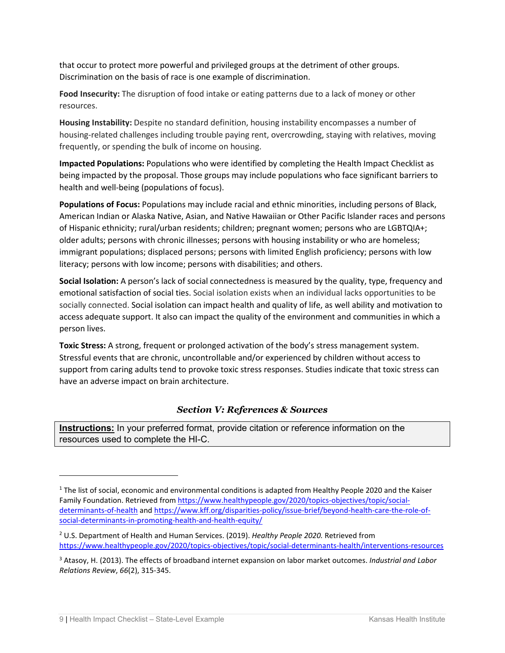that occur to protect more powerful and privileged groups at the detriment of other groups. Discrimination on the basis of race is one example of discrimination.

**Food Insecurity:** The disruption of food intake or eating patterns due to a lack of money or other resources.

**Housing Instability:** Despite no standard definition, housing instability encompasses a number of housing-related challenges including trouble paying rent, overcrowding, staying with relatives, moving frequently, or spending the bulk of income on housing.

**Impacted Populations:** Populations who were identified by completing the Health Impact Checklist as being impacted by the proposal. Those groups may include populations who face significant barriers to health and well-being (populations of focus).

**Populations of Focus:** Populations may include racial and ethnic minorities, including persons of Black, American Indian or Alaska Native, Asian, and Native Hawaiian or Other Pacific Islander races and persons of Hispanic ethnicity; rural/urban residents; children; pregnant women; persons who are LGBTQIA+; older adults; persons with chronic illnesses; persons with housing instability or who are homeless; immigrant populations; displaced persons; persons with limited English proficiency; persons with low literacy; persons with low income; persons with disabilities; and others.

**Social Isolation:** A person's lack of social connectedness is measured by the quality, type, frequency and emotional satisfaction of social ties. Social isolation exists when an individual lacks opportunities to be socially connected. Social isolation can impact health and quality of life, as well ability and motivation to access adequate support. It also can impact the quality of the environment and communities in which a person lives.

**Toxic Stress:** A strong, frequent or prolonged activation of the body's stress management system. Stressful events that are chronic, uncontrollable and/or experienced by children without access to support from caring adults tend to provoke toxic stress responses. Studies indicate that toxic stress can have an adverse impact on brain architecture.

# *Section V: References & Sources*

**Instructions:** In your preferred format, provide citation or reference information on the resources used to complete the HI-C.

<span id="page-9-0"></span><sup>&</sup>lt;sup>1</sup> The list of social, economic and environmental conditions is adapted from Healthy People 2020 and the Kaiser Family Foundation. Retrieved fro[m https://www.healthypeople.gov/2020/topics-objectives/topic/social](https://www.healthypeople.gov/2020/topics-objectives/topic/social-determinants-of-health)[determinants-of-health](https://www.healthypeople.gov/2020/topics-objectives/topic/social-determinants-of-health) and [https://www.kff.org/disparities-policy/issue-brief/beyond-health-care-the-role-of](https://www.kff.org/disparities-policy/issue-brief/beyond-health-care-the-role-of-social-determinants-in-promoting-health-and-health-equity/)[social-determinants-in-promoting-health-and-health-equity/](https://www.kff.org/disparities-policy/issue-brief/beyond-health-care-the-role-of-social-determinants-in-promoting-health-and-health-equity/)

<span id="page-9-1"></span><sup>2</sup> U.S. Department of Health and Human Services. (2019). *Healthy People 2020.* Retrieved from <https://www.healthypeople.gov/2020/topics-objectives/topic/social-determinants-health/interventions-resources>

<span id="page-9-2"></span><sup>3</sup> Atasoy, H. (2013). The effects of broadband internet expansion on labor market outcomes. *Industrial and Labor Relations Review*, *66*(2), 315-345.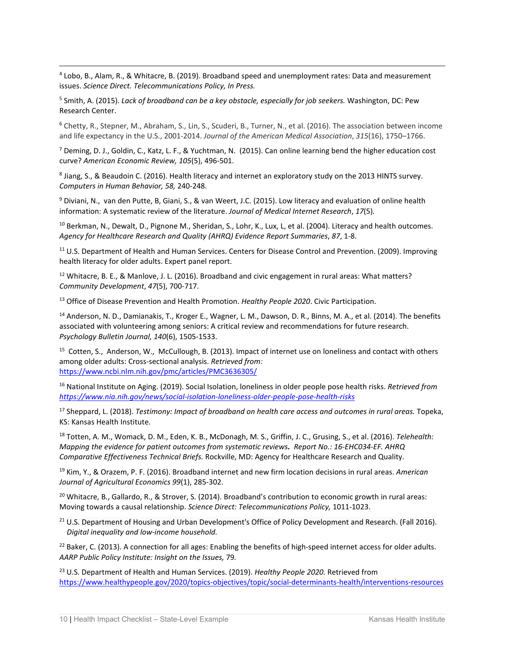<span id="page-10-0"></span><sup>4</sup> [Lobo, B., Alam, R., &](https://www.sciencedirect.com/science/article/abs/pii/S0308596118303823#!) [Whitacre, B.](https://www.sciencedirect.com/science/article/abs/pii/S0308596118303823#!) (2019). Broadband speed and unemployment rates: Data and measurement issues. *Science Direct. Telecommunications Policy, In Press.*

<span id="page-10-1"></span><sup>5</sup> Smith, A. (2015). *Lack of broadband can be a key obstacle, especially for job seekers.* Washington, DC: Pew Research Center.

<span id="page-10-2"></span><sup>6</sup> Chetty, R., Stepner, M., Abraham, S., Lin, S., Scuderi, B., Turner, N., et al. (2016). The association between income and life expectancy in the U.S., 2001-2014. *Journal of the American Medical Association*, *315*(16), 1750–1766.

<span id="page-10-3"></span> $^7$  Deming, D. J., Goldin, C., Katz, L. F., & Yuchtman, N. (2015). Can online learning bend the higher education cost curve? *American Economic Review, 105*(5), 496-501.

<span id="page-10-4"></span><sup>8</sup> [Jiang,](https://www.sciencedirect.com/science/article/pii/S0747563216300073?via%3Dihub#!) S., & Beaudoin C. (2016). Health literacy and internet an exploratory study on the 2013 HINTS survey. *Computers in Human Behavior, 58,* 240-248.

<span id="page-10-5"></span><sup>9</sup> [Diviani,](https://www.ncbi.nlm.nih.gov/pubmed/?term=Diviani%20N%5BAuthor%5D&cauthor=true&cauthor_uid=25953147) N., van de[n Putte,](https://www.ncbi.nlm.nih.gov/pubmed/?term=van%20den%20Putte%20B%5BAuthor%5D&cauthor=true&cauthor_uid=25953147) B, Giani, S., & van Weert, J.C. (2015). Low literacy and evaluation of online health information: A systematic review of the literature. *Journal of Medical Internet Research*, *17*(5)*.* 

<span id="page-10-6"></span><sup>10</sup> Berkman, N., Dewalt, D., Pignone M., Sheridan, S., Lohr, K., Lux, L, et al. (2004). Literacy and health outcomes. *Agency for Healthcare Research and Quality (AHRQ) Evidence Report Summaries*, *87*, 1-8.

<span id="page-10-7"></span><sup>11</sup> U.S. Department of Health and Human Services. Centers for Disease Control and Prevention. (2009). Improving health literacy for older adults. Expert panel report.

<span id="page-10-8"></span><sup>12</sup> Whitacre, B. E., & Manlove, J. L. (2016). Broadband and civic engagement in rural areas: What matters? *Community Development*, *47*(5), 700-717.

<span id="page-10-9"></span><sup>13</sup> Office of Disease Prevention and Health Promotion. *Healthy People 2020*. Civic Participation.

<span id="page-10-10"></span><sup>14</sup> Anderson, N. D., Damianakis, T., Kroger E., Wagner, L. M., Dawson, D. R., Binns, M. A., et al. (2014). The benefits associated with volunteering among seniors: A critical review and recommendations for future research. *Psychology Bulletin Journal, 140*(6), 1505-1533.

<span id="page-10-11"></span><sup>15</sup> [Cotten,](https://www.ncbi.nlm.nih.gov/pubmed/?term=Cotten%20SR%5BAuthor%5D&cauthor=true&cauthor_uid=23448864) S., [Anderson,](https://www.ncbi.nlm.nih.gov/pubmed/?term=Anderson%20WA%5BAuthor%5D&cauthor=true&cauthor_uid=23448864) W., [McCullough,](https://www.ncbi.nlm.nih.gov/pubmed/?term=McCullough%20BM%5BAuthor%5D&cauthor=true&cauthor_uid=23448864) B. (2013). Impact of internet use on loneliness and contact with others among older adults: Cross-sectional analysis. *Retrieved from:*  <https://www.ncbi.nlm.nih.gov/pmc/articles/PMC3636305/>

<span id="page-10-12"></span><sup>16</sup> National Institute on Aging. (2019). Social Isolation, loneliness in older people pose health risks. *Retrieved from <https://www.nia.nih.gov/news/social-isolation-loneliness-older-people-pose-health-risks>*

<span id="page-10-13"></span><sup>17</sup> Sheppard, L. (2018). *Testimony: Impact of broadband on health care access and outcomes in rural areas.* Topeka, KS: Kansas Health Institute.

<span id="page-10-14"></span><sup>18</sup> Totten, A. M., Womack, D. M., Eden, K. B., McDonagh, M. S., Griffin, J. C., Grusing, S., et al. (2016). *Telehealth: Mapping the evidence for patient outcomes from systematic reviews. Report No.: 16-EHC034-EF. AHRQ Comparative Effectiveness Technical Briefs.* Rockville, MD: Agency for Healthcare Research and Quality.

<span id="page-10-15"></span><sup>19</sup> Kim, Y., & Orazem, P. F. (2016). Broadband internet and new firm location decisions in rural areas. *American Journal of Agricultural Economics 99*(1), 285-302.

<span id="page-10-16"></span><sup>20</sup> Whitacre, B., Gallardo, R., & Strover, S. (2014). Broadband's contribution to economic growth in rural areas: Moving towards a causal relationship. *Science Direct: Telecommunications Policy,* 1011-1023.

<span id="page-10-17"></span><sup>21</sup> U.S. Department of Housing and Urban Development's Office of Policy Development and Research. (Fall 2016). *Digital inequality and low-income household.* 

<span id="page-10-18"></span><sup>22</sup> Baker, C. (2013). A connection for all ages: Enabling the benefits of high-speed internet access for older adults. *AARP Public Policy Institute: Insight on the Issues,* 79*.*

<span id="page-10-19"></span><sup>23</sup> U.S. Department of Health and Human Services. (2019). *Healthy People 2020.* Retrieved from <https://www.healthypeople.gov/2020/topics-objectives/topic/social-determinants-health/interventions-resources>